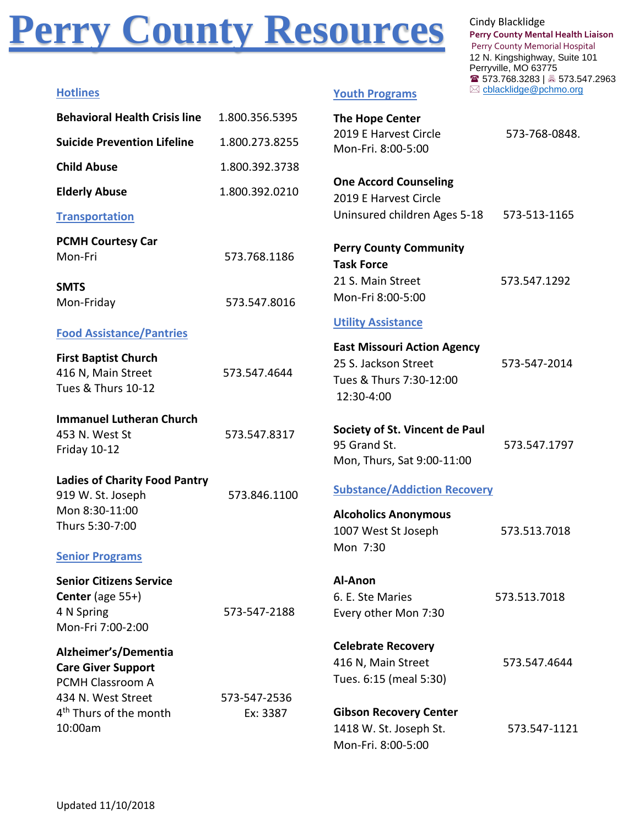# **Perry County Resources** Cindy Blacklidge

**Perry County Mental Health Liaison** Perry County Memorial Hospital 12 N. Kingshighway, Suite 101 Perryville, MO 63775 ☎ 573.768.3283 | 573.547.2963 **Hotlines** [cblacklidge@pchmo.org](mailto:cblacklidge@pchmo.org)

| <b>Hotlines</b> |  |
|-----------------|--|
|                 |  |
|                 |  |

#### **Youth Programs**

| <b>Behavioral Health Crisis line</b>                                                                                     | 1.800.356.5395           | <b>The Hope Center</b>                                                                                |               |
|--------------------------------------------------------------------------------------------------------------------------|--------------------------|-------------------------------------------------------------------------------------------------------|---------------|
| <b>Suicide Prevention Lifeline</b>                                                                                       | 1.800.273.8255           | 2019 E Harvest Circle<br>Mon-Fri. 8:00-5:00                                                           | 573-768-0848. |
| <b>Child Abuse</b>                                                                                                       | 1.800.392.3738           |                                                                                                       |               |
| <b>Elderly Abuse</b>                                                                                                     | 1.800.392.0210           | <b>One Accord Counseling</b><br>2019 E Harvest Circle                                                 |               |
| <b>Transportation</b>                                                                                                    |                          | Uninsured children Ages 5-18                                                                          | 573-513-1165  |
| <b>PCMH Courtesy Car</b><br>Mon-Fri                                                                                      | 573.768.1186             | <b>Perry County Community</b><br><b>Task Force</b>                                                    |               |
| <b>SMTS</b>                                                                                                              |                          | 21 S. Main Street                                                                                     | 573.547.1292  |
| Mon-Friday                                                                                                               | 573.547.8016             | Mon-Fri 8:00-5:00                                                                                     |               |
| <b>Food Assistance/Pantries</b>                                                                                          |                          | <b>Utility Assistance</b>                                                                             |               |
| <b>First Baptist Church</b><br>416 N, Main Street<br>Tues & Thurs 10-12                                                  | 573.547.4644             | <b>East Missouri Action Agency</b><br>25 S. Jackson Street<br>Tues & Thurs 7:30-12:00<br>12:30-4:00   | 573-547-2014  |
| <b>Immanuel Lutheran Church</b><br>453 N. West St<br>Friday 10-12                                                        | 573.547.8317             | Society of St. Vincent de Paul<br>95 Grand St.<br>Mon, Thurs, Sat 9:00-11:00                          | 573.547.1797  |
| <b>Ladies of Charity Food Pantry</b><br>919 W. St. Joseph<br>Mon 8:30-11:00<br>Thurs 5:30-7:00<br><b>Senior Programs</b> | 573.846.1100             | <b>Substance/Addiction Recovery</b><br><b>Alcoholics Anonymous</b><br>1007 West St Joseph<br>Mon 7:30 | 573.513.7018  |
| <b>Senior Citizens Service</b><br><b>Center</b> (age $55+$ )<br>4 N Spring<br>Mon-Fri 7:00-2:00                          | 573-547-2188             | Al-Anon<br>6. E. Ste Maries<br>Every other Mon 7:30                                                   | 573.513.7018  |
| Alzheimer's/Dementia<br><b>Care Giver Support</b><br>PCMH Classroom A                                                    |                          | <b>Celebrate Recovery</b><br>416 N, Main Street<br>Tues. 6:15 (meal 5:30)                             | 573.547.4644  |
| 434 N. West Street<br>4 <sup>th</sup> Thurs of the month<br>10:00am                                                      | 573-547-2536<br>Ex: 3387 | <b>Gibson Recovery Center</b><br>1418 W. St. Joseph St.<br>Mon-Fri. 8:00-5:00                         | 573.547-1121  |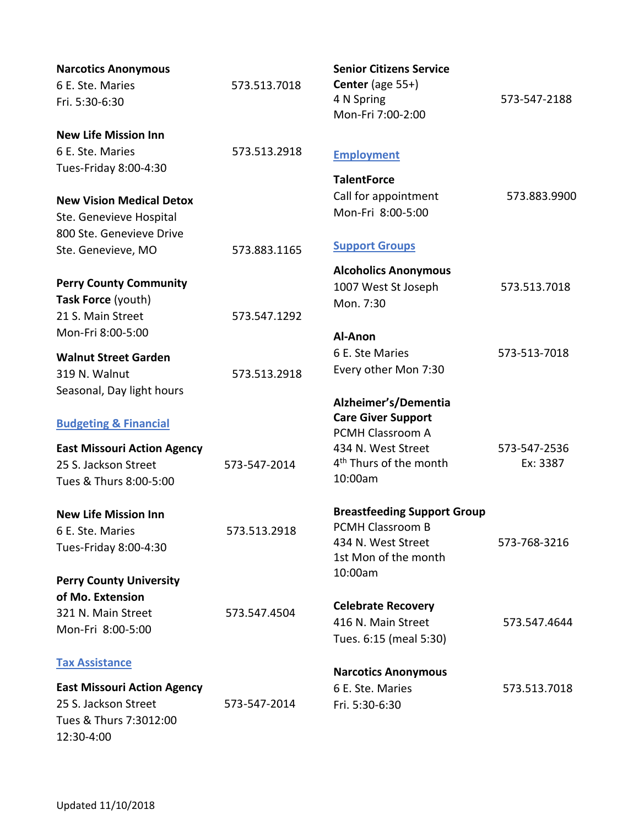| <b>Narcotics Anonymous</b>         |              | <b>Senior Citizens Service</b>     |              |
|------------------------------------|--------------|------------------------------------|--------------|
| 6 E. Ste. Maries                   | 573.513.7018 | <b>Center</b> (age $55+$ )         |              |
| Fri. 5:30-6:30                     |              | 4 N Spring<br>Mon-Fri 7:00-2:00    | 573-547-2188 |
| <b>New Life Mission Inn</b>        |              |                                    |              |
| 6 E. Ste. Maries                   | 573.513.2918 |                                    |              |
| Tues-Friday 8:00-4:30              |              | <b>Employment</b>                  |              |
|                                    |              | <b>TalentForce</b>                 |              |
| <b>New Vision Medical Detox</b>    |              | Call for appointment               | 573.883.9900 |
| Ste. Genevieve Hospital            |              | Mon-Fri 8:00-5:00                  |              |
| 800 Ste. Genevieve Drive           |              |                                    |              |
| Ste. Genevieve, MO                 | 573.883.1165 | <b>Support Groups</b>              |              |
|                                    |              | <b>Alcoholics Anonymous</b>        |              |
| <b>Perry County Community</b>      |              | 1007 West St Joseph                | 573.513.7018 |
| Task Force (youth)                 |              | Mon. 7:30                          |              |
| 21 S. Main Street                  | 573.547.1292 |                                    |              |
| Mon-Fri 8:00-5:00                  |              | Al-Anon                            |              |
| <b>Walnut Street Garden</b>        |              | 6 E. Ste Maries                    | 573-513-7018 |
| 319 N. Walnut                      | 573.513.2918 | Every other Mon 7:30               |              |
| Seasonal, Day light hours          |              |                                    |              |
|                                    |              | Alzheimer's/Dementia               |              |
| <b>Budgeting &amp; Financial</b>   |              | <b>Care Giver Support</b>          |              |
|                                    |              | PCMH Classroom A                   |              |
| <b>East Missouri Action Agency</b> |              | 434 N. West Street                 | 573-547-2536 |
| 25 S. Jackson Street               | 573-547-2014 | 4 <sup>th</sup> Thurs of the month | Ex: 3387     |
| Tues & Thurs 8:00-5:00             |              | 10:00am                            |              |
| <b>New Life Mission Inn</b>        |              | <b>Breastfeeding Support Group</b> |              |
| 6 E. Ste. Maries                   | 573.513.2918 | PCMH Classroom B                   |              |
| Tues-Friday 8:00-4:30              |              | 434 N. West Street                 | 573-768-3216 |
|                                    |              | 1st Mon of the month               |              |
| <b>Perry County University</b>     |              | 10:00am                            |              |
| of Mo. Extension                   |              |                                    |              |
| 321 N. Main Street                 | 573.547.4504 | <b>Celebrate Recovery</b>          |              |
| Mon-Fri 8:00-5:00                  |              | 416 N. Main Street                 | 573.547.4644 |
|                                    |              | Tues. 6:15 (meal 5:30)             |              |
| <b>Tax Assistance</b>              |              | <b>Narcotics Anonymous</b>         |              |
| <b>East Missouri Action Agency</b> |              | 6 E. Ste. Maries                   | 573.513.7018 |
| 25 S. Jackson Street               | 573-547-2014 | Fri. 5:30-6:30                     |              |
| Tues & Thurs 7:3012:00             |              |                                    |              |
| 12:30-4:00                         |              |                                    |              |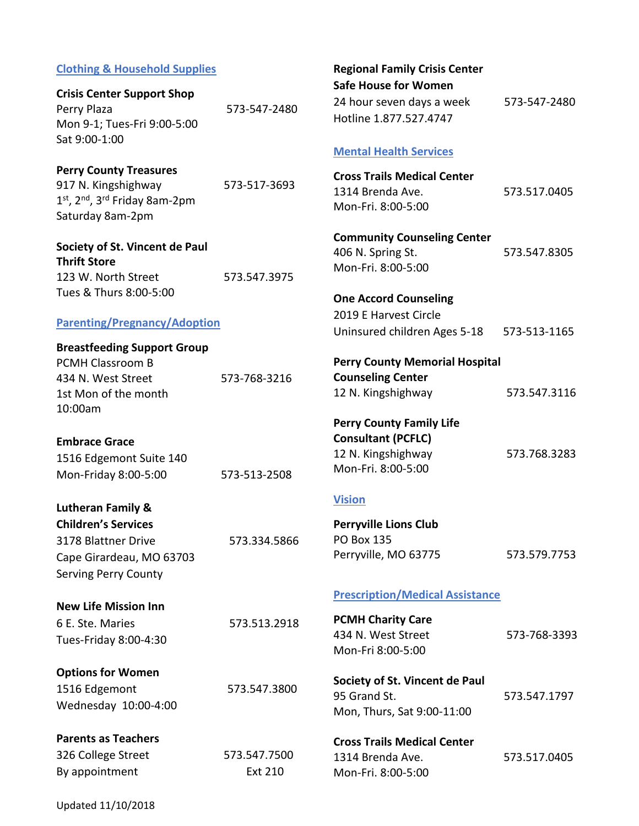#### **Clothing & Household Supplies**

| <b>Crisis Center Support Shop</b> |              |
|-----------------------------------|--------------|
| Perry Plaza                       | 573-547-2480 |
| Mon 9-1; Tues-Fri 9:00-5:00       |              |
| Sat 9:00-1:00                     |              |

#### **Perry County Treasures**

917 N. Kingshighway 573-517-3693 1st, 2<sup>nd</sup>, 3<sup>rd</sup> Friday 8am-2pm Saturday 8am-2pm

**Society of St. Vincent de Paul Thrift Store** 123 W. North Street 573.547.3975 Tues & Thurs 8:00-5:00

#### **Parenting/Pregnancy/Adoption**

**Breastfeeding Support Group**  PCMH Classroom B 434 N. West Street 573-768-3216 1st Mon of the month 10:00am

**Embrace Grace**

1516 Edgemont Suite 140 Mon-Friday 8:00-5:00 573-513-2508

**Lutheran Family & Children's Services** 

| Children S Services         |              |
|-----------------------------|--------------|
| 3178 Blattner Drive         | 573.334.5866 |
| Cape Girardeau, MO 63703    |              |
| <b>Serving Perry County</b> |              |

**New Life Mission Inn** 6 E. Ste. Maries 573.513.2918 Tues-Friday 8:00-4:30

**Options for Women**  1516 Edgemont 573.547.3800

Wednesday 10:00-4:00

**Parents as Teachers**

326 College Street 573.547.7500 By appointment Ext 210

**Regional Family Crisis Center Safe House for Women**

24 hour seven days a week 573-547-2480 Hotline 1.877.527.4747

#### **Mental Health Services**

| <b>Cross Trails Medical Center</b> |              |
|------------------------------------|--------------|
| 1314 Brenda Ave.                   | 573.517.0405 |
| Mon-Fri. 8:00-5:00                 |              |

**Community Counseling Center**  406 N. Spring St. 573.547.8305 Mon-Fri. 8:00-5:00

### **One Accord Counseling** 2019 E Harvest Circle Uninsured children Ages 5-18 573-513-1165

## **Perry County Memorial Hospital Counseling Center**

12 N. Kingshighway 573.547.3116

**Perry County Family Life Consultant (PCFLC)** 12 N. Kingshighway 573.768.3283 Mon-Fri. 8:00-5:00

#### **Vision**

**Perryville Lions Club**  PO Box 135 Perryville, MO 63775 573.579.7753

#### **Prescription/Medical Assistance**

**PCMH Charity Care** 434 N. West Street 573-768-3393 Mon-Fri 8:00-5:00

**Society of St. Vincent de Paul** 95 Grand St. 573.547.1797 Mon, Thurs, Sat 9:00-11:00

**Cross Trails Medical Center** 1314 Brenda Ave. 573.517.0405 Mon-Fri. 8:00-5:00

Updated 11/10/2018